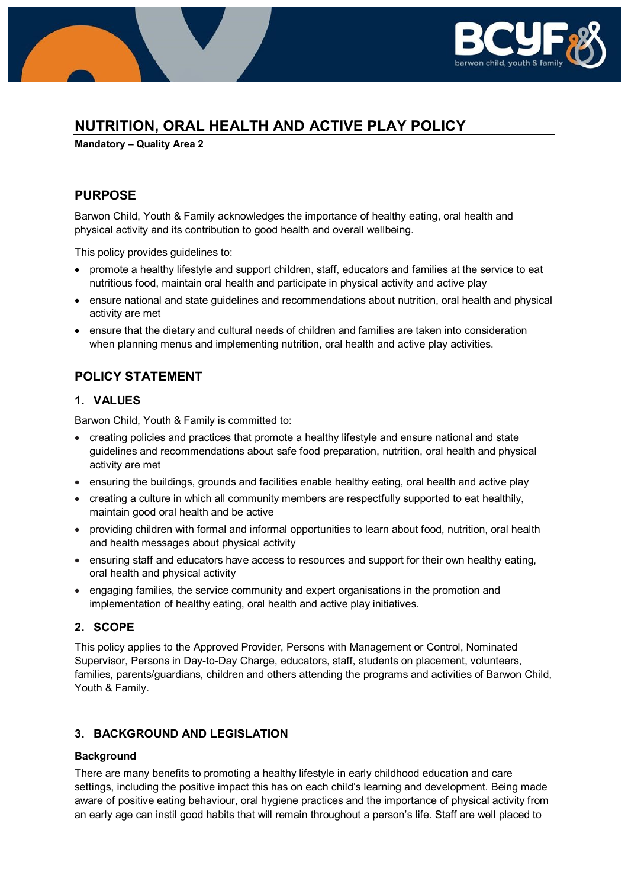

# **NUTRITION, ORAL HEALTH AND ACTIVE PLAY POLICY**

**Mandatory – Quality Area 2**

# **PURPOSE**

Barwon Child, Youth & Family acknowledges the importance of healthy eating, oral health and physical activity and its contribution to good health and overall wellbeing.

This policy provides guidelines to:

- promote a healthy lifestyle and support children, staff, educators and families at the service to eat nutritious food, maintain oral health and participate in physical activity and active play
- ensure national and state guidelines and recommendations about nutrition, oral health and physical activity are met
- ensure that the dietary and cultural needs of children and families are taken into consideration when planning menus and implementing nutrition, oral health and active play activities.

# **POLICY STATEMENT**

### **1. VALUES**

Barwon Child, Youth & Family is committed to:

- creating policies and practices that promote a healthy lifestyle and ensure national and state guidelines and recommendations about safe food preparation, nutrition, oral health and physical activity are met
- ensuring the buildings, grounds and facilities enable healthy eating, oral health and active play
- creating a culture in which all community members are respectfully supported to eat healthily, maintain good oral health and be active
- providing children with formal and informal opportunities to learn about food, nutrition, oral health and health messages about physical activity
- ensuring staff and educators have access to resources and support for their own healthy eating, oral health and physical activity
- engaging families, the service community and expert organisations in the promotion and implementation of healthy eating, oral health and active play initiatives.

### **2. SCOPE**

This policy applies to the Approved Provider, Persons with Management or Control, Nominated Supervisor, Persons in Day-to-Day Charge, educators, staff, students on placement, volunteers, families, parents/guardians, children and others attending the programs and activities of Barwon Child, Youth & Family.

### **3. BACKGROUND AND LEGISLATION**

### **Background**

There are many benefits to promoting a healthy lifestyle in early childhood education and care settings, including the positive impact this has on each child's learning and development. Being made aware of positive eating behaviour, oral hygiene practices and the importance of physical activity from an early age can instil good habits that will remain throughout a person's life. Staff are well placed to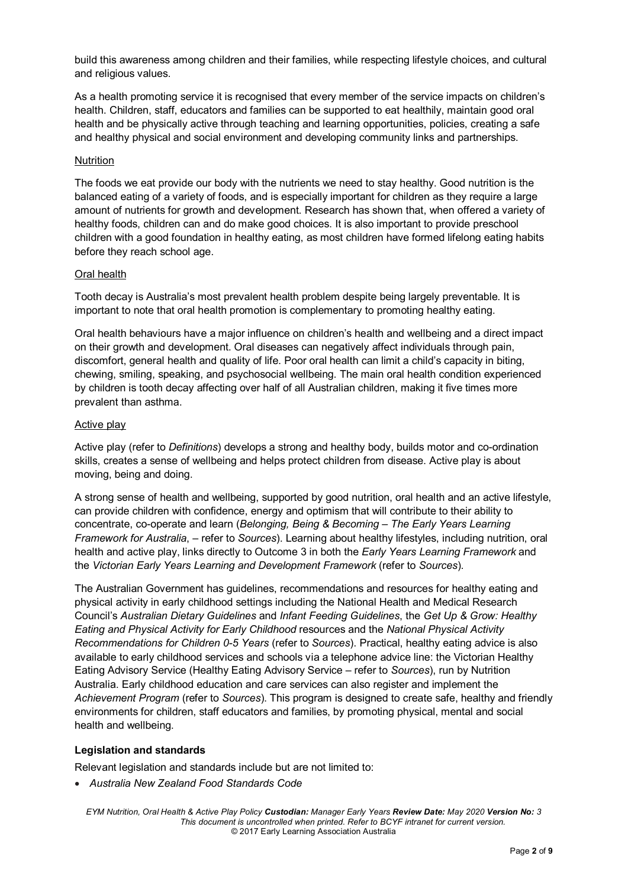build this awareness among children and their families, while respecting lifestyle choices, and cultural and religious values.

As a health promoting service it is recognised that every member of the service impacts on children's health. Children, staff, educators and families can be supported to eat healthily, maintain good oral health and be physically active through teaching and learning opportunities, policies, creating a safe and healthy physical and social environment and developing community links and partnerships.

#### **Nutrition**

The foods we eat provide our body with the nutrients we need to stay healthy. Good nutrition is the balanced eating of a variety of foods, and is especially important for children as they require a large amount of nutrients for growth and development. Research has shown that, when offered a variety of healthy foods, children can and do make good choices. It is also important to provide preschool children with a good foundation in healthy eating, as most children have formed lifelong eating habits before they reach school age.

#### Oral health

Tooth decay is Australia's most prevalent health problem despite being largely preventable. It is important to note that oral health promotion is complementary to promoting healthy eating.

Oral health behaviours have a major influence on children's health and wellbeing and a direct impact on their growth and development. Oral diseases can negatively affect individuals through pain, discomfort, general health and quality of life. Poor oral health can limit a child's capacity in biting, chewing, smiling, speaking, and psychosocial wellbeing. The main oral health condition experienced by children is tooth decay affecting over half of all Australian children, making it five times more prevalent than asthma.

#### Active play

Active play (refer to *Definitions*) develops a strong and healthy body, builds motor and co-ordination skills, creates a sense of wellbeing and helps protect children from disease. Active play is about moving, being and doing.

A strong sense of health and wellbeing, supported by good nutrition, oral health and an active lifestyle, can provide children with confidence, energy and optimism that will contribute to their ability to concentrate, co-operate and learn (*Belonging, Being & Becoming – The Early Years Learning Framework for Australia*, – refer to *Sources*). Learning about healthy lifestyles, including nutrition, oral health and active play, links directly to Outcome 3 in both the *Early Years Learning Framework* and the *Victorian Early Years Learning and Development Framework* (refer to *Sources*).

The Australian Government has guidelines, recommendations and resources for healthy eating and physical activity in early childhood settings including the National Health and Medical Research Council's *Australian Dietary Guidelines* and *Infant Feeding Guidelines*, the *Get Up & Grow: Healthy Eating and Physical Activity for Early Childhood* resources and the *National Physical Activity Recommendations for Children 0-5 Years* (refer to *Sources*). Practical, healthy eating advice is also available to early childhood services and schools via a telephone advice line: the Victorian Healthy Eating Advisory Service (Healthy Eating Advisory Service – refer to *Sources*), run by Nutrition Australia. Early childhood education and care services can also register and implement the *Achievement Program* (refer to *Sources*). This program is designed to create safe, healthy and friendly environments for children, staff educators and families, by promoting physical, mental and social health and wellbeing.

### **Legislation and standards**

Relevant legislation and standards include but are not limited to:

• *Australia New Zealand Food Standards Code*

*EYM Nutrition, Oral Health & Active Play Policy Custodian: Manager Early Years Review Date: May 2020 Version No: 3 This document is uncontrolled when printed. Refer to BCYF intranet for current version.* © 2017 Early Learning Association Australia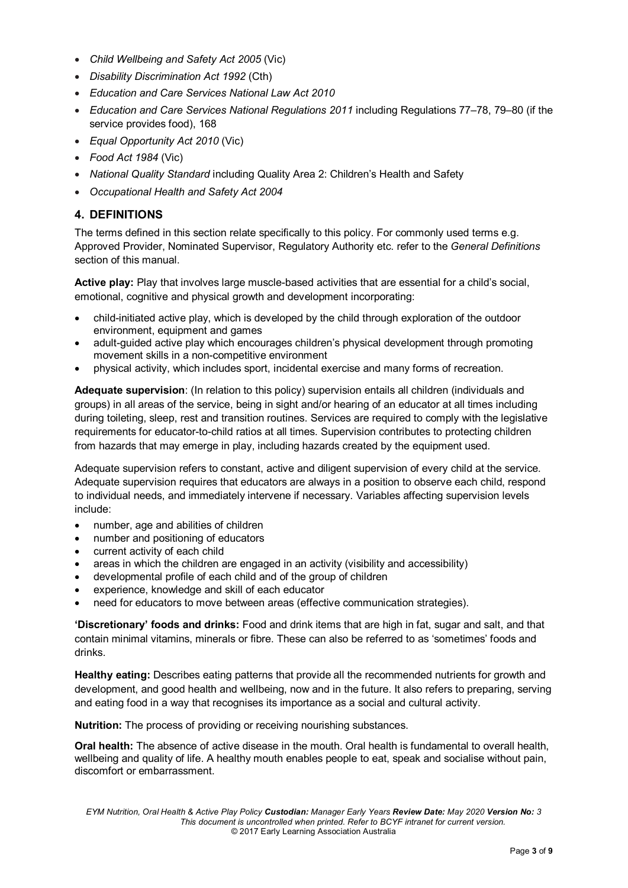- *Child Wellbeing and Safety Act 2005* (Vic)
- *Disability Discrimination Act 1992* (Cth)
- *Education and Care Services National Law Act 2010*
- *Education and Care Services National Regulations 2011* including Regulations 77–78, 79–80 (if the service provides food), 168
- *Equal Opportunity Act 2010* (Vic)
- *Food Act 1984* (Vic)
- *National Quality Standard* including Quality Area 2: Children's Health and Safety
- *Occupational Health and Safety Act 2004*

## **4. DEFINITIONS**

The terms defined in this section relate specifically to this policy. For commonly used terms e.g. Approved Provider, Nominated Supervisor, Regulatory Authority etc. refer to the *General Definitions* section of this manual.

**Active play:** Play that involves large muscle-based activities that are essential for a child's social, emotional, cognitive and physical growth and development incorporating:

- child-initiated active play, which is developed by the child through exploration of the outdoor environment, equipment and games
- adult-guided active play which encourages children's physical development through promoting movement skills in a non-competitive environment
- physical activity, which includes sport, incidental exercise and many forms of recreation.

**Adequate supervision**: (In relation to this policy) supervision entails all children (individuals and groups) in all areas of the service, being in sight and/or hearing of an educator at all times including during toileting, sleep, rest and transition routines. Services are required to comply with the legislative requirements for educator-to-child ratios at all times. Supervision contributes to protecting children from hazards that may emerge in play, including hazards created by the equipment used.

Adequate supervision refers to constant, active and diligent supervision of every child at the service. Adequate supervision requires that educators are always in a position to observe each child, respond to individual needs, and immediately intervene if necessary. Variables affecting supervision levels include:

- number, age and abilities of children
- number and positioning of educators
- current activity of each child
- areas in which the children are engaged in an activity (visibility and accessibility)
- developmental profile of each child and of the group of children
- experience, knowledge and skill of each educator
- need for educators to move between areas (effective communication strategies).

**'Discretionary' foods and drinks:** Food and drink items that are high in fat, sugar and salt, and that contain minimal vitamins, minerals or fibre. These can also be referred to as 'sometimes' foods and drinks.

**Healthy eating:** Describes eating patterns that provide all the recommended nutrients for growth and development, and good health and wellbeing, now and in the future. It also refers to preparing, serving and eating food in a way that recognises its importance as a social and cultural activity.

**Nutrition:** The process of providing or receiving nourishing substances.

**Oral health:** The absence of active disease in the mouth. Oral health is fundamental to overall health, wellbeing and quality of life. A healthy mouth enables people to eat, speak and socialise without pain, discomfort or embarrassment.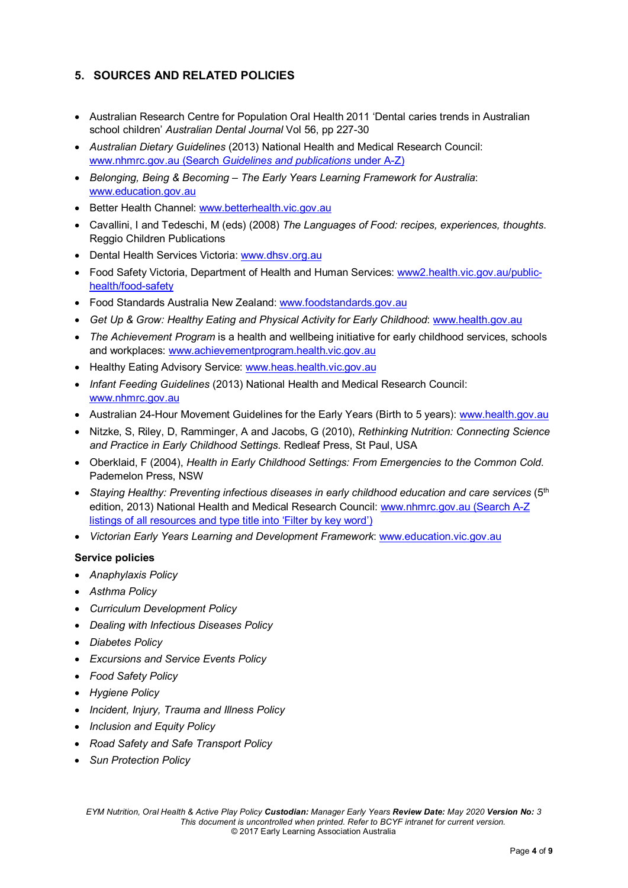# **5. SOURCES AND RELATED POLICIES**

- Australian Research Centre for Population Oral Health 2011 'Dental caries trends in Australian school children' *Australian Dental Journal* Vol 56, pp 227-30
- *Australian Dietary Guidelines* (2013) National Health and Medical Research Council: [www.nhmrc.gov.au](https://www.nhmrc.gov.au/) (Search *Guidelines and publications* under A-Z)
- *Belonging, Being & Becoming – The Early Years Learning Framework for Australia*: [www.education.gov.au](https://www.education.gov.au/)
- Better Health Channel: [www.betterhealth.vic.gov.au](http://www.betterhealth.vic.gov.au/)
- Cavallini, I and Tedeschi, M (eds) (2008) *The Languages of Food: recipes, experiences, thoughts*. Reggio Children Publications
- Dental Health Services Victoria: [www.dhsv.org.au](http://www.dhsv.org.au/)
- Food Safety Victoria, Department of Health and Human Services: [www2.health.vic.gov.au/public](https://www2.health.vic.gov.au/public-health/food-safety)[health/food-safety](https://www2.health.vic.gov.au/public-health/food-safety)
- Food Standards Australia New Zealand: [www.foodstandards.gov.au](http://www.foodstandards.gov.au/)
- *Get Up & Grow: Healthy Eating and Physical Activity for Early Childhood*: [www.health.gov.au](http://www.health.gov.au/)
- *The Achievement Program* is a health and wellbeing initiative for early childhood services, schools and workplaces: [www.achievementprogram.health.vic.gov.au](http://www.achievementprogram.health.vic.gov.au/)
- Healthy Eating Advisory Service: [www.heas.health.vic.gov.au](http://heas.health.vic.gov.au/)
- *Infant Feeding Guidelines* (2013) National Health and Medical Research Council: [www.nhmrc.gov.au](http://www.nhmrc.gov.au/)
- Australian 24-Hour Movement Guidelines for the Early Years (Birth to 5 years): [www.health.gov.au](http://www.health.gov.au/)
- Nitzke, S, Riley, D, Ramminger, A and Jacobs, G (2010), *Rethinking Nutrition: Connecting Science and Practice in Early Childhood Settings*. Redleaf Press, St Paul, USA
- Oberklaid, F (2004), *Health in Early Childhood Settings: From Emergencies to the Common Cold*. Pademelon Press, NSW
- *Staying Healthy: Preventing infectious diseases in early childhood education and care services* (5th edition, 2013) National Health and Medical Research Council: [www.nhmrc.gov.au](https://www.nhmrc.gov.au/) (Search A-Z listings of all resources and type title into 'Filter by key word')
- *Victorian Early Years Learning and Development Framework*[: www.education.vic.gov.au](http://www.education.vic.gov.au/Pages/default.aspx)

### **Service policies**

- *Anaphylaxis Policy*
- *Asthma Policy*
- *Curriculum Development Policy*
- *Dealing with Infectious Diseases Policy*
- *Diabetes Policy*
- *Excursions and Service Events Policy*
- *Food Safety Policy*
- *Hygiene Policy*
- *Incident, Injury, Trauma and Illness Policy*
- *Inclusion and Equity Policy*
- *Road Safety and Safe Transport Policy*
- *Sun Protection Policy*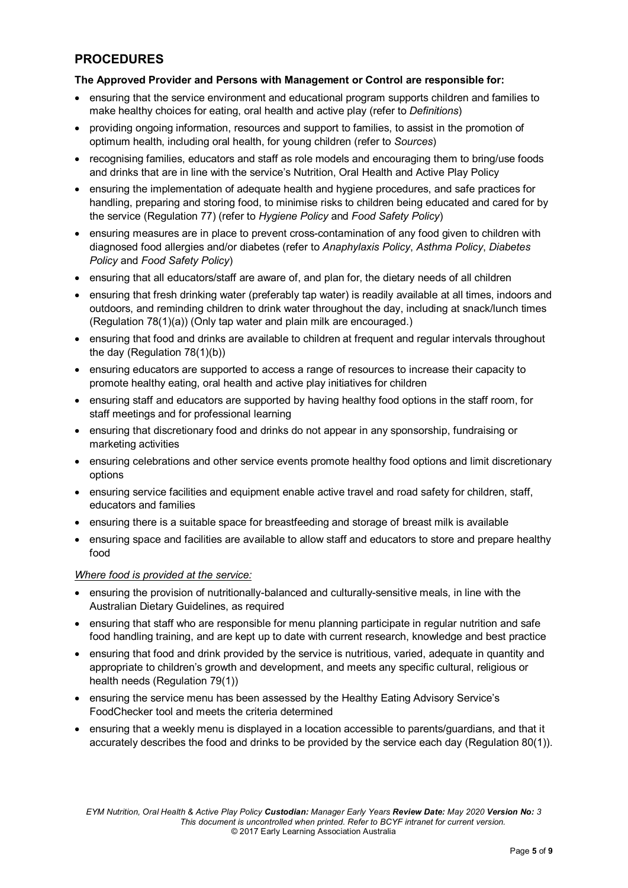# **PROCEDURES**

### **The Approved Provider and Persons with Management or Control are responsible for:**

- ensuring that the service environment and educational program supports children and families to make healthy choices for eating, oral health and active play (refer to *Definitions*)
- providing ongoing information, resources and support to families, to assist in the promotion of optimum health, including oral health, for young children (refer to *Sources*)
- recognising families, educators and staff as role models and encouraging them to bring/use foods and drinks that are in line with the service's Nutrition, Oral Health and Active Play Policy
- ensuring the implementation of adequate health and hygiene procedures, and safe practices for handling, preparing and storing food, to minimise risks to children being educated and cared for by the service (Regulation 77) (refer to *Hygiene Policy* and *Food Safety Policy*)
- ensuring measures are in place to prevent cross-contamination of any food given to children with diagnosed food allergies and/or diabetes (refer to *Anaphylaxis Policy*, *Asthma Policy*, *Diabetes Policy* and *Food Safety Policy*)
- ensuring that all educators/staff are aware of, and plan for, the dietary needs of all children
- ensuring that fresh drinking water (preferably tap water) is readily available at all times, indoors and outdoors, and reminding children to drink water throughout the day, including at snack/lunch times (Regulation 78(1)(a)) (Only tap water and plain milk are encouraged.)
- ensuring that food and drinks are available to children at frequent and regular intervals throughout the day (Regulation 78(1)(b))
- ensuring educators are supported to access a range of resources to increase their capacity to promote healthy eating, oral health and active play initiatives for children
- ensuring staff and educators are supported by having healthy food options in the staff room, for staff meetings and for professional learning
- ensuring that discretionary food and drinks do not appear in any sponsorship, fundraising or marketing activities
- ensuring celebrations and other service events promote healthy food options and limit discretionary options
- ensuring service facilities and equipment enable active travel and road safety for children, staff, educators and families
- ensuring there is a suitable space for breastfeeding and storage of breast milk is available
- ensuring space and facilities are available to allow staff and educators to store and prepare healthy food

### *Where food is provided at the service:*

- ensuring the provision of nutritionally-balanced and culturally-sensitive meals, in line with the Australian Dietary Guidelines, as required
- ensuring that staff who are responsible for menu planning participate in regular nutrition and safe food handling training, and are kept up to date with current research, knowledge and best practice
- ensuring that food and drink provided by the service is nutritious, varied, adequate in quantity and appropriate to children's growth and development, and meets any specific cultural, religious or health needs (Regulation 79(1))
- ensuring the service menu has been assessed by the Healthy Eating Advisory Service's FoodChecker tool and meets the criteria determined
- ensuring that a weekly menu is displayed in a location accessible to parents/guardians, and that it accurately describes the food and drinks to be provided by the service each day (Regulation 80(1)).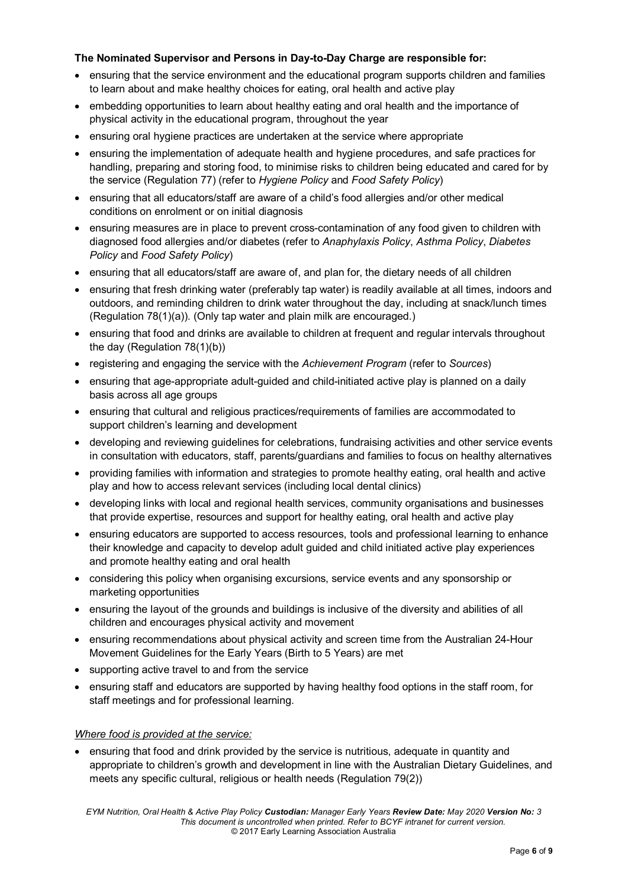### **The Nominated Supervisor and Persons in Day-to-Day Charge are responsible for:**

- ensuring that the service environment and the educational program supports children and families to learn about and make healthy choices for eating, oral health and active play
- embedding opportunities to learn about healthy eating and oral health and the importance of physical activity in the educational program, throughout the year
- ensuring oral hygiene practices are undertaken at the service where appropriate
- ensuring the implementation of adequate health and hygiene procedures, and safe practices for handling, preparing and storing food, to minimise risks to children being educated and cared for by the service (Regulation 77) (refer to *Hygiene Policy* and *Food Safety Policy*)
- ensuring that all educators/staff are aware of a child's food allergies and/or other medical conditions on enrolment or on initial diagnosis
- ensuring measures are in place to prevent cross-contamination of any food given to children with diagnosed food allergies and/or diabetes (refer to *Anaphylaxis Policy*, *Asthma Policy*, *Diabetes Policy* and *Food Safety Policy*)
- ensuring that all educators/staff are aware of, and plan for, the dietary needs of all children
- ensuring that fresh drinking water (preferably tap water) is readily available at all times, indoors and outdoors, and reminding children to drink water throughout the day, including at snack/lunch times (Regulation 78(1)(a)). (Only tap water and plain milk are encouraged.)
- ensuring that food and drinks are available to children at frequent and regular intervals throughout the day (Regulation 78(1)(b))
- registering and engaging the service with the *Achievement Program* (refer to *Sources*)
- ensuring that age-appropriate adult-guided and child-initiated active play is planned on a daily basis across all age groups
- ensuring that cultural and religious practices/requirements of families are accommodated to support children's learning and development
- developing and reviewing guidelines for celebrations, fundraising activities and other service events in consultation with educators, staff, parents/guardians and families to focus on healthy alternatives
- providing families with information and strategies to promote healthy eating, oral health and active play and how to access relevant services (including local dental clinics)
- developing links with local and regional health services, community organisations and businesses that provide expertise, resources and support for healthy eating, oral health and active play
- ensuring educators are supported to access resources, tools and professional learning to enhance their knowledge and capacity to develop adult guided and child initiated active play experiences and promote healthy eating and oral health
- considering this policy when organising excursions, service events and any sponsorship or marketing opportunities
- ensuring the layout of the grounds and buildings is inclusive of the diversity and abilities of all children and encourages physical activity and movement
- ensuring recommendations about physical activity and screen time from the Australian 24-Hour Movement Guidelines for the Early Years (Birth to 5 Years) are met
- supporting active travel to and from the service
- ensuring staff and educators are supported by having healthy food options in the staff room, for staff meetings and for professional learning.

### *Where food is provided at the service:*

• ensuring that food and drink provided by the service is nutritious, adequate in quantity and appropriate to children's growth and development in line with the Australian Dietary Guidelines, and meets any specific cultural, religious or health needs (Regulation 79(2))

*EYM Nutrition, Oral Health & Active Play Policy Custodian: Manager Early Years Review Date: May 2020 Version No: 3 This document is uncontrolled when printed. Refer to BCYF intranet for current version.* © 2017 Early Learning Association Australia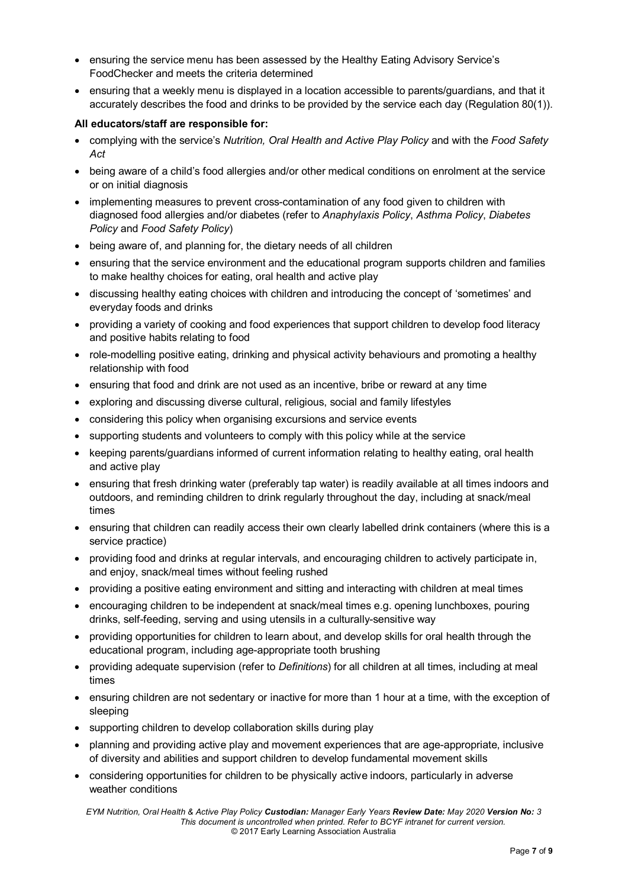- ensuring the service menu has been assessed by the Healthy Eating Advisory Service's FoodChecker and meets the criteria determined
- ensuring that a weekly menu is displayed in a location accessible to parents/guardians, and that it accurately describes the food and drinks to be provided by the service each day (Regulation 80(1)).

### **All educators/staff are responsible for:**

- complying with the service's *Nutrition, Oral Health and Active Play Policy* and with the *Food Safety Act*
- being aware of a child's food allergies and/or other medical conditions on enrolment at the service or on initial diagnosis
- implementing measures to prevent cross-contamination of any food given to children with diagnosed food allergies and/or diabetes (refer to *Anaphylaxis Policy*, *Asthma Policy*, *Diabetes Policy* and *Food Safety Policy*)
- being aware of, and planning for, the dietary needs of all children
- ensuring that the service environment and the educational program supports children and families to make healthy choices for eating, oral health and active play
- discussing healthy eating choices with children and introducing the concept of 'sometimes' and everyday foods and drinks
- providing a variety of cooking and food experiences that support children to develop food literacy and positive habits relating to food
- role-modelling positive eating, drinking and physical activity behaviours and promoting a healthy relationship with food
- ensuring that food and drink are not used as an incentive, bribe or reward at any time
- exploring and discussing diverse cultural, religious, social and family lifestyles
- considering this policy when organising excursions and service events
- supporting students and volunteers to comply with this policy while at the service
- keeping parents/guardians informed of current information relating to healthy eating, oral health and active play
- ensuring that fresh drinking water (preferably tap water) is readily available at all times indoors and outdoors, and reminding children to drink regularly throughout the day, including at snack/meal times
- ensuring that children can readily access their own clearly labelled drink containers (where this is a service practice)
- providing food and drinks at regular intervals, and encouraging children to actively participate in, and enjoy, snack/meal times without feeling rushed
- providing a positive eating environment and sitting and interacting with children at meal times
- encouraging children to be independent at snack/meal times e.g. opening lunchboxes, pouring drinks, self-feeding, serving and using utensils in a culturally-sensitive way
- providing opportunities for children to learn about, and develop skills for oral health through the educational program, including age-appropriate tooth brushing
- providing adequate supervision (refer to *Definitions*) for all children at all times, including at meal times
- ensuring children are not sedentary or inactive for more than 1 hour at a time, with the exception of sleeping
- supporting children to develop collaboration skills during play
- planning and providing active play and movement experiences that are age-appropriate, inclusive of diversity and abilities and support children to develop fundamental movement skills
- considering opportunities for children to be physically active indoors, particularly in adverse weather conditions

*EYM Nutrition, Oral Health & Active Play Policy Custodian: Manager Early Years Review Date: May 2020 Version No: 3 This document is uncontrolled when printed. Refer to BCYF intranet for current version.* © 2017 Early Learning Association Australia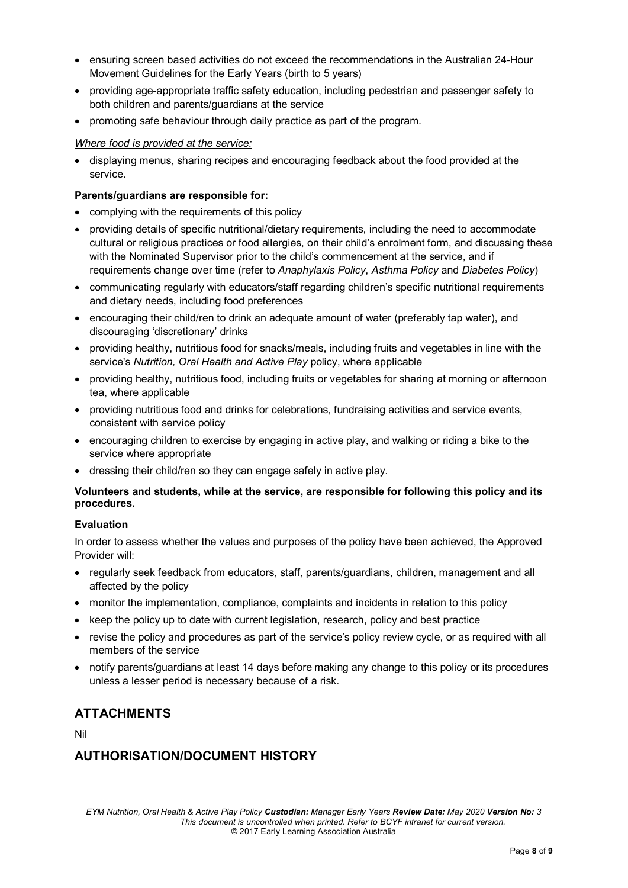- ensuring screen based activities do not exceed the recommendations in the Australian 24-Hour Movement Guidelines for the Early Years (birth to 5 years)
- providing age-appropriate traffic safety education, including pedestrian and passenger safety to both children and parents/guardians at the service
- promoting safe behaviour through daily practice as part of the program.

#### *Where food is provided at the service:*

• displaying menus, sharing recipes and encouraging feedback about the food provided at the service.

#### **Parents/guardians are responsible for:**

- complying with the requirements of this policy
- providing details of specific nutritional/dietary requirements, including the need to accommodate cultural or religious practices or food allergies, on their child's enrolment form, and discussing these with the Nominated Supervisor prior to the child's commencement at the service, and if requirements change over time (refer to *Anaphylaxis Policy*, *Asthma Policy* and *Diabetes Policy*)
- communicating regularly with educators/staff regarding children's specific nutritional requirements and dietary needs, including food preferences
- encouraging their child/ren to drink an adequate amount of water (preferably tap water), and discouraging 'discretionary' drinks
- providing healthy, nutritious food for snacks/meals, including fruits and vegetables in line with the service's *Nutrition, Oral Health and Active Play* policy, where applicable
- providing healthy, nutritious food, including fruits or vegetables for sharing at morning or afternoon tea, where applicable
- providing nutritious food and drinks for celebrations, fundraising activities and service events, consistent with service policy
- encouraging children to exercise by engaging in active play, and walking or riding a bike to the service where appropriate
- dressing their child/ren so they can engage safely in active play.

### **Volunteers and students, while at the service, are responsible for following this policy and its procedures.**

### **Evaluation**

In order to assess whether the values and purposes of the policy have been achieved, the Approved Provider will:

- regularly seek feedback from educators, staff, parents/guardians, children, management and all affected by the policy
- monitor the implementation, compliance, complaints and incidents in relation to this policy
- keep the policy up to date with current legislation, research, policy and best practice
- revise the policy and procedures as part of the service's policy review cycle, or as required with all members of the service
- notify parents/guardians at least 14 days before making any change to this policy or its procedures unless a lesser period is necessary because of a risk.

# **ATTACHMENTS**

Nil

# **AUTHORISATION/DOCUMENT HISTORY**